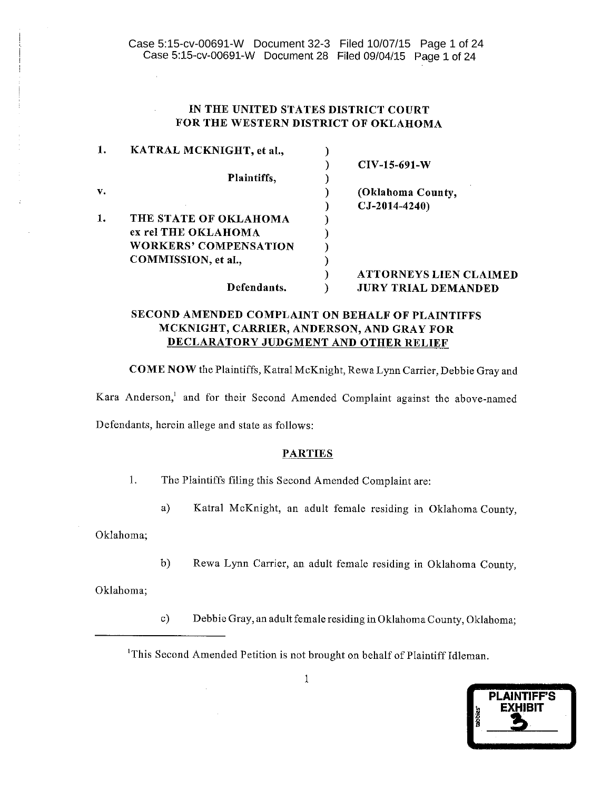# IN THE UNITED STATES DISTRICT COURT FOR THE WESTERN DISTRICT OF OKLAHOMA

| 1. | KATRAL MCKNIGHT, et al.,     |                               |
|----|------------------------------|-------------------------------|
|    |                              | $CIV-15-691-W$                |
|    | Plaintiffs.                  |                               |
| v. |                              | (Oklahoma County,             |
|    |                              | $CJ-2014-4240$                |
| 1. | THE STATE OF OKLAHOMA        |                               |
|    | ex rel THE OKLAHOMA          |                               |
|    | <b>WORKERS' COMPENSATION</b> |                               |
|    | COMMISSION, et al.,          |                               |
|    |                              | <b>ATTORNEYS LIEN CLAIMED</b> |
|    | Defendants.                  | <b>JURY TRIAL DEMANDED</b>    |

# SECOND AMENDED COMPLAINT ON BEHALF OF PLAINTIFFS MCKNIGHT, CARRIER, ANDERSON, AND GRAY FOR **DECLARATORY JUDGMENT AND OTHER RELIEF**

COME NOW the Plaintiffs, Katral McKnight, Rewa Lynn Carrier, Debbie Gray and

Kara Anderson,<sup>1</sup> and for their Second Amended Complaint against the above-named

Defendants, herein allege and state as follows:

 $\mathcal{A}^{\pm}$ 

### **PARTIES**

 $1.$ The Plaintiffs filing this Second Amended Complaint are:

> Katral McKnight, an adult female residing in Oklahoma County, a)

Oklahoma;

 $b)$ Rewa Lynn Carrier, an adult female residing in Oklahoma County,

Oklahoma;

Debbie Gray, an adult female residing in Oklahoma County, Oklahoma;  $c)$ 

<sup>1</sup>This Second Amended Petition is not brought on behalf of Plaintiff Idleman.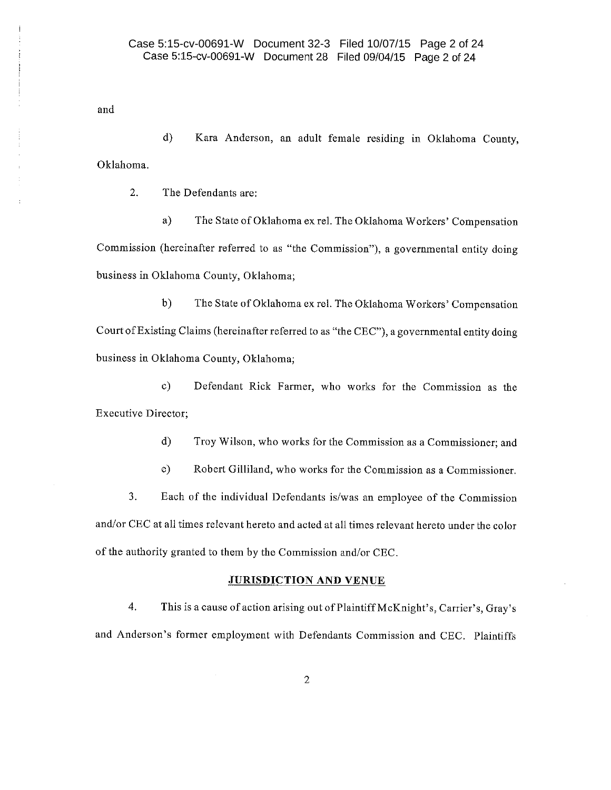and

 $\mathbf{d}$ Kara Anderson, an adult female residing in Oklahoma County, Oklahoma.

 $2.$ The Defendants are:

The State of Oklahoma ex rel. The Oklahoma Workers' Compensation  $a)$ Commission (hereinafter referred to as "the Commission"), a governmental entity doing business in Oklahoma County, Oklahoma;

 $b)$ The State of Oklahoma ex rel. The Oklahoma Workers' Compensation Court of Existing Claims (hereinafter referred to as "the CEC"), a governmental entity doing business in Oklahoma County, Oklahoma;

 $c)$ Defendant Rick Farmer, who works for the Commission as the **Executive Director;** 

> $\mathbf{d}$ Troy Wilson, who works for the Commission as a Commissioner; and

> $\circ$ ) Robert Gilliland, who works for the Commission as a Commissioner.

3. Each of the individual Defendants is/was an employee of the Commission and/or CEC at all times relevant hereto and acted at all times relevant hereto under the color of the authority granted to them by the Commission and/or CEC.

## **JURISDICTION AND VENUE**

4. This is a cause of action arising out of Plaintiff McKnight's, Carrier's, Gray's and Anderson's former employment with Defendants Commission and CEC. Plaintiffs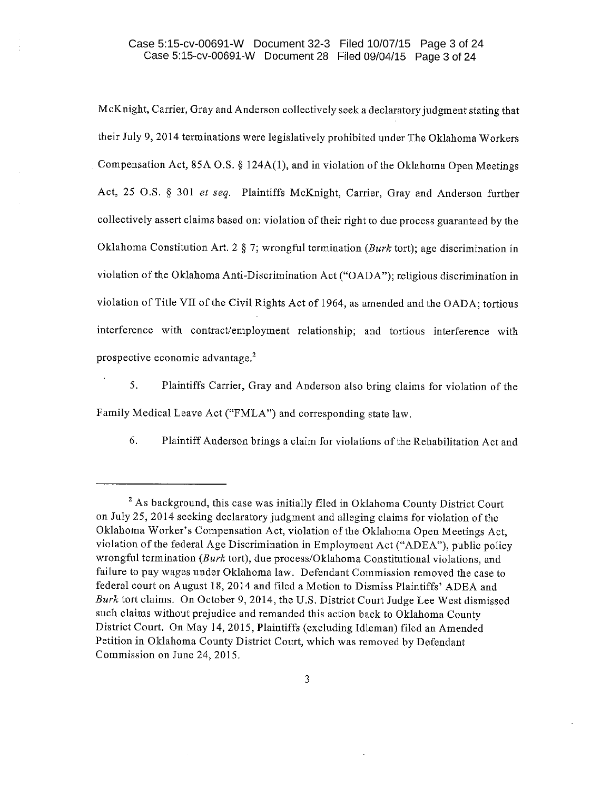# Case 5:15-cv-00691-W Document 32-3 Filed 10/07/15 Page 3 of 24 Case 5:15-cv-00691-W Document 28 Filed 09/04/15 Page 3 of 24

McKnight, Carrier, Gray and Anderson collectively seek a declaratory judgment stating that their July 9, 2014 terminations were legislatively prohibited under The Oklahoma Workers Compensation Act, 85A O.S. § 124A(1), and in violation of the Oklahoma Open Meetings Act, 25 O.S. § 301 et seq. Plaintiffs McKnight, Carrier, Gray and Anderson further collectively assert claims based on: violation of their right to due process guaranteed by the Oklahoma Constitution Art. 2 § 7; wrongful termination (Burk tort); age discrimination in violation of the Oklahoma Anti-Discrimination Act ("OADA"); religious discrimination in violation of Title VII of the Civil Rights Act of 1964, as amended and the OADA; tortious interference with contract/employment relationship; and tortious interference with prospective economic advantage.<sup>2</sup>

5. Plaintiffs Carrier, Gray and Anderson also bring claims for violation of the Family Medical Leave Act ("FMLA") and corresponding state law.

6. Plaintiff Anderson brings a claim for violations of the Rehabilitation Act and

<sup>&</sup>lt;sup>2</sup> As background, this case was initially filed in Oklahoma County District Court on July 25, 2014 seeking declaratory judgment and alleging claims for violation of the Oklahoma Worker's Compensation Act, violation of the Oklahoma Open Meetings Act, violation of the federal Age Discrimination in Employment Act ("ADEA"), public policy wrongful termination (Burk tort), due process/Oklahoma Constitutional violations, and failure to pay wages under Oklahoma law. Defendant Commission removed the case to federal court on August 18, 2014 and filed a Motion to Dismiss Plaintiffs' ADEA and Burk tort claims. On October 9, 2014, the U.S. District Court Judge Lee West dismissed such claims without prejudice and remanded this action back to Oklahoma County District Court. On May 14, 2015, Plaintiffs (excluding Idleman) filed an Amended Petition in Oklahoma County District Court, which was removed by Defendant Commission on June 24, 2015.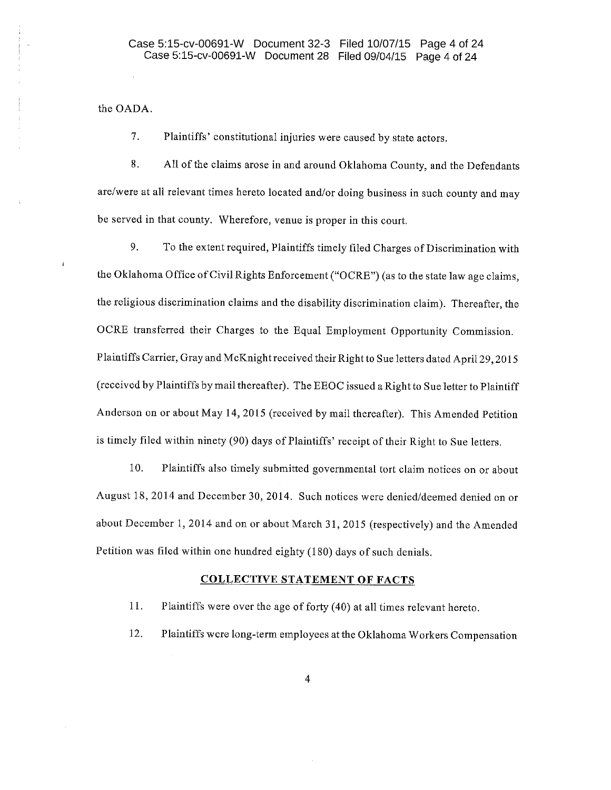the OADA.

7. Plaintiffs' constitutional injuries were caused by state actors.

8. All of the claims arose in and around Oklahoma County, and the Defendants are/were at all relevant times hereto located and/or doing business in such county and may be served in that county. Wherefore, venue is proper in this court.

9. To the extent required, Plaintiffs timely filed Charges of Discrimination with the Oklahoma Office of Civil Rights Enforcement ("OCRE") (as to the state law age claims, the religious discrimination claims and the disability discrimination claim). Thereafter, the OCRE transferred their Charges to the Equal Employment Opportunity Commission. Plaintiffs Carrier, Gray and McKnight received their Right to Sue letters dated April 29, 2015 (received by Plaintiffs by mail thereafter). The EEOC issued a Right to Sue letter to Plaintiff Anderson on or about May 14, 2015 (received by mail thereafter). This Amended Petition is timely filed within ninety (90) days of Plaintiffs' receipt of their Right to Sue letters.

10. Plaintiffs also timely submitted governmental tort claim notices on or about August 18, 2014 and December 30, 2014. Such notices were denied/deemed denied on or about December 1, 2014 and on or about March 31, 2015 (respectively) and the Amended Petition was filed within one hundred eighty (180) days of such denials.

#### **COLLECTIVE STATEMENT OF FACTS**

11. Plaintiffs were over the age of forty (40) at all times relevant hereto.

12. Plaintiffs were long-term employees at the Oklahoma Workers Compensation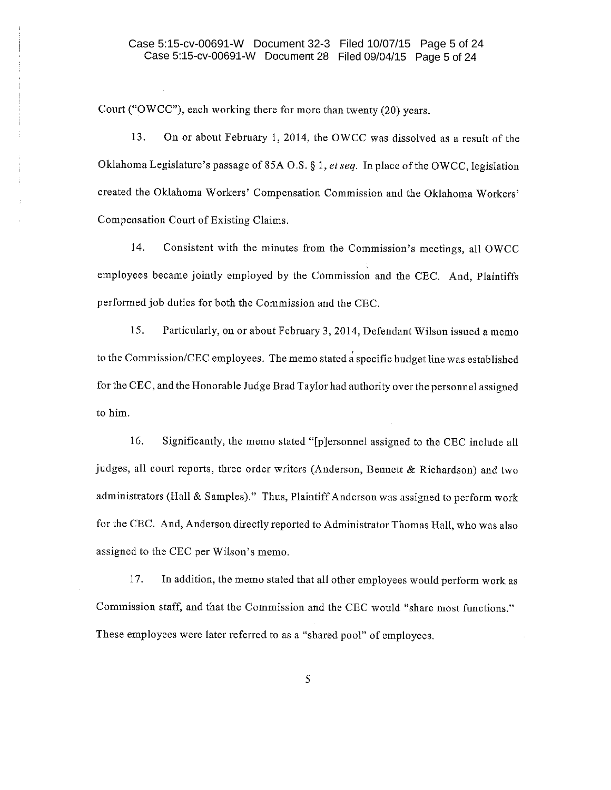Court ("OWCC"), each working there for more than twenty (20) years.

13. On or about February 1, 2014, the OWCC was dissolved as a result of the Oklahoma Legislature's passage of 85A O.S. § 1, et seq. In place of the OWCC, legislation created the Oklahoma Workers' Compensation Commission and the Oklahoma Workers' Compensation Court of Existing Claims.

14. Consistent with the minutes from the Commission's meetings, all OWCC employees became jointly employed by the Commission and the CEC. And, Plaintiffs performed job duties for both the Commission and the CEC.

15. Particularly, on or about February 3, 2014, Defendant Wilson issued a memo to the Commission/CEC employees. The memo stated a specific budget line was established for the CEC, and the Honorable Judge Brad Taylor had authority over the personnel assigned to him.

16. Significantly, the memo stated "[p]ersonnel assigned to the CEC include all judges, all court reports, three order writers (Anderson, Bennett & Richardson) and two administrators (Hall & Samples)." Thus, Plaintiff Anderson was assigned to perform work for the CEC. And, Anderson directly reported to Administrator Thomas Hall, who was also assigned to the CEC per Wilson's memo.

17. In addition, the memo stated that all other employees would perform work as Commission staff, and that the Commission and the CEC would "share most functions." These employees were later referred to as a "shared pool" of employees.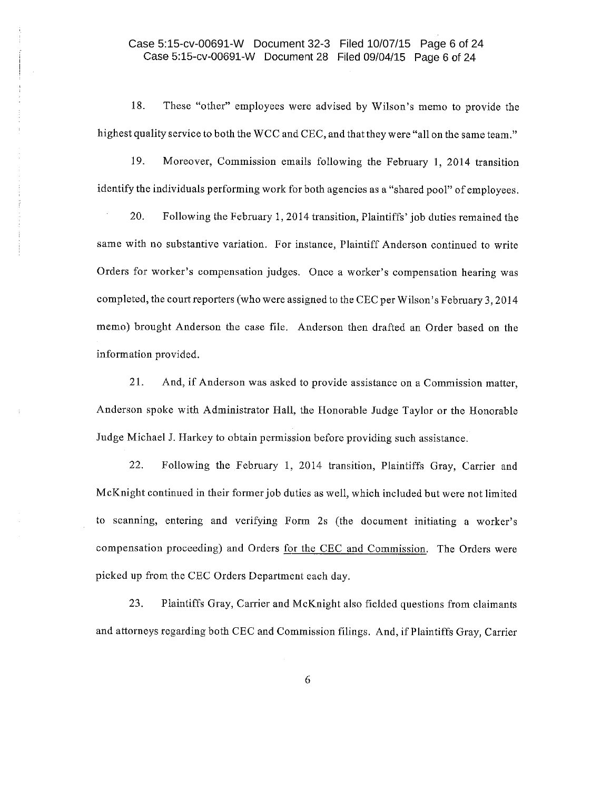# Case 5:15-cv-00691-W Document 32-3 Filed 10/07/15 Page 6 of 24 Case 5:15-cv-00691-W Document 28 Filed 09/04/15 Page 6 of 24

18. These "other" employees were advised by Wilson's memo to provide the highest quality service to both the WCC and CEC, and that they were "all on the same team."

19. Moreover, Commission emails following the February 1, 2014 transition identify the individuals performing work for both agencies as a "shared pool" of employees.

20. Following the February 1, 2014 transition, Plaintiffs' job duties remained the same with no substantive variation. For instance, Plaintiff Anderson continued to write Orders for worker's compensation judges. Once a worker's compensation hearing was completed, the court reporters (who were assigned to the CEC per Wilson's February 3, 2014 memo) brought Anderson the case file. Anderson then drafted an Order based on the information provided.

21. And, if Anderson was asked to provide assistance on a Commission matter, Anderson spoke with Administrator Hall, the Honorable Judge Taylor or the Honorable Judge Michael J. Harkey to obtain permission before providing such assistance.

22. Following the February 1, 2014 transition, Plaintiffs Gray, Carrier and McKnight continued in their former job duties as well, which included but were not limited to scanning, entering and verifying Form 2s (the document initiating a worker's compensation proceeding) and Orders for the CEC and Commission. The Orders were picked up from the CEC Orders Department each day.

23. Plaintiffs Gray, Carrier and McKnight also fielded questions from claimants and attorneys regarding both CEC and Commission filings. And, if Plaintiffs Gray, Carrier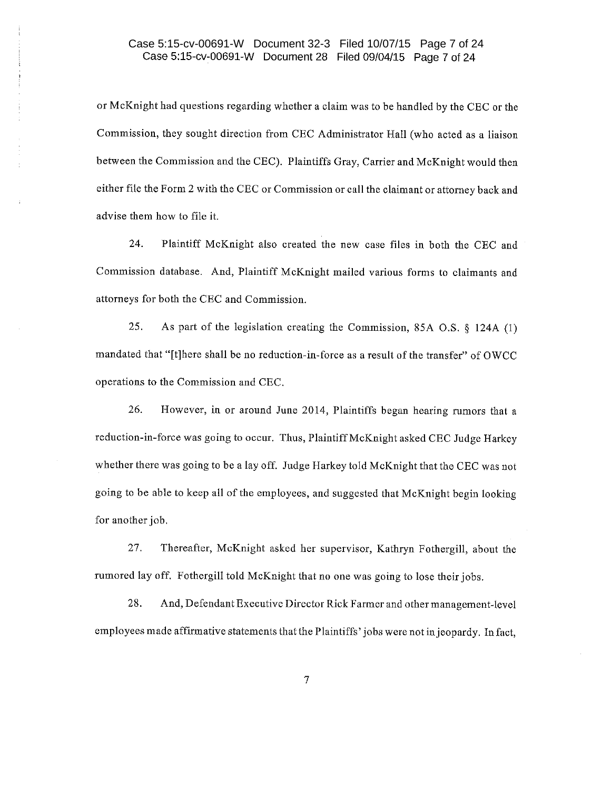# Case 5:15-cv-00691-W Document 32-3 Filed 10/07/15 Page 7 of 24 Case 5:15-cv-00691-W Document 28 Filed 09/04/15 Page 7 of 24

or McKnight had questions regarding whether a claim was to be handled by the CEC or the Commission, they sought direction from CEC Administrator Hall (who acted as a liaison between the Commission and the CEC). Plaintiffs Gray, Carrier and McKnight would then either file the Form 2 with the CEC or Commission or call the claimant or attorney back and advise them how to file it.

24. Plaintiff McKnight also created the new case files in both the CEC and Commission database. And, Plaintiff McKnight mailed various forms to claimants and attorneys for both the CEC and Commission.

25. As part of the legislation creating the Commission, 85A O.S. § 124A (1) mandated that "[t]here shall be no reduction-in-force as a result of the transfer" of OWCC operations to the Commission and CEC.

26. However, in or around June 2014, Plaintiffs began hearing rumors that a reduction-in-force was going to occur. Thus, Plaintiff McKnight asked CEC Judge Harkey whether there was going to be a lay off. Judge Harkey told McKnight that the CEC was not going to be able to keep all of the employees, and suggested that McKnight begin looking for another job.

27. Thereafter, McKnight asked her supervisor, Kathryn Fothergill, about the rumored lay off. Fothergill told McKnight that no one was going to lose their jobs.

28. And, Defendant Executive Director Rick Farmer and other management-level employees made affirmative statements that the Plaintiffs' jobs were not in jeopardy. In fact,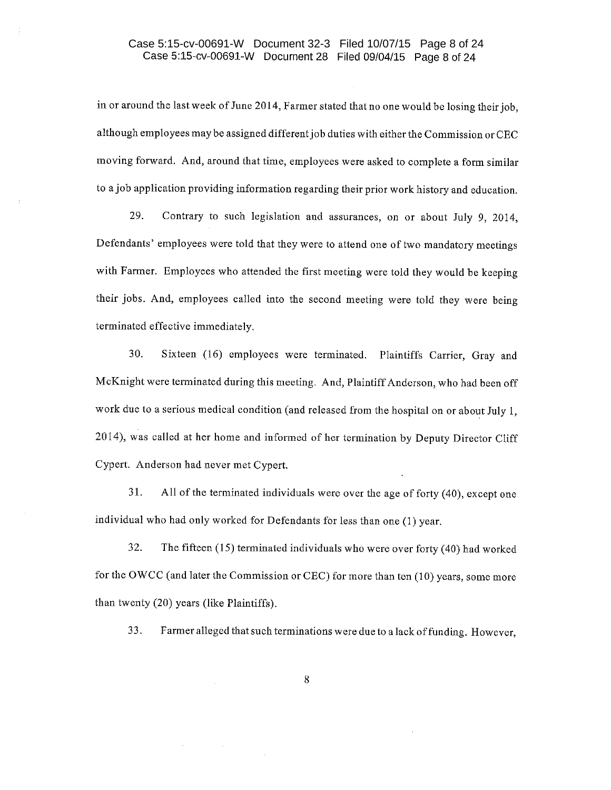# Case 5:15-cv-00691-W Document 32-3 Filed 10/07/15 Page 8 of 24 Case 5:15-cv-00691-W Document 28 Filed 09/04/15 Page 8 of 24

in or around the last week of June 2014, Farmer stated that no one would be losing their job, although employees may be assigned different job duties with either the Commission or CEC moving forward. And, around that time, employees were asked to complete a form similar to a job application providing information regarding their prior work history and education.

29. Contrary to such legislation and assurances, on or about July 9, 2014, Defendants' employees were told that they were to attend one of two mandatory meetings with Farmer. Employees who attended the first meeting were told they would be keeping their jobs. And, employees called into the second meeting were told they were being terminated effective immediately.

30. Sixteen (16) employees were terminated. Plaintiffs Carrier, Gray and McKnight were terminated during this meeting. And, Plaintiff Anderson, who had been off work due to a serious medical condition (and released from the hospital on or about July 1, 2014), was called at her home and informed of her termination by Deputy Director Cliff Cypert. Anderson had never met Cypert.

All of the terminated individuals were over the age of forty (40), except one 31. individual who had only worked for Defendants for less than one (1) year.

32. The fifteen  $(15)$  terminated individuals who were over forty  $(40)$  had worked for the OWCC (and later the Commission or CEC) for more than ten (10) years, some more than twenty (20) years (like Plaintiffs).

33. Farmer alleged that such terminations were due to a lack of funding. However,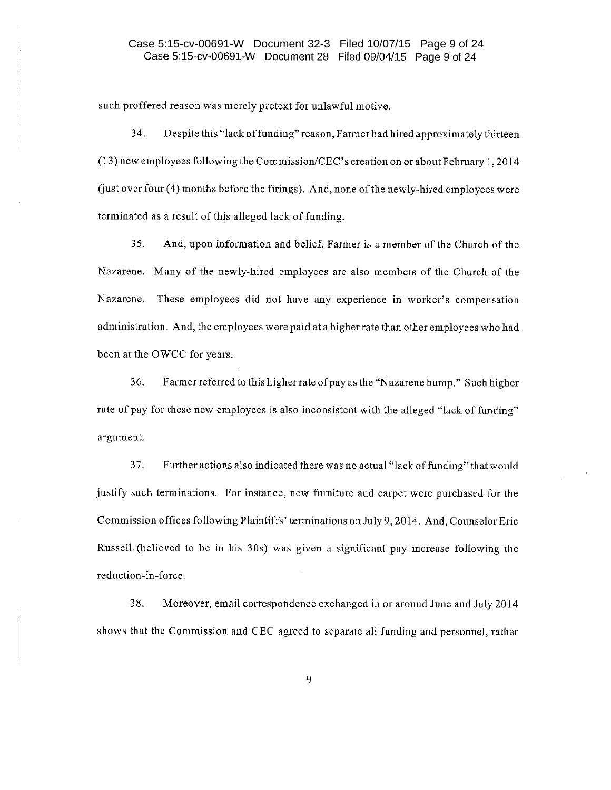# Case 5:15-cv-00691-W Document 32-3 Filed 10/07/15 Page 9 of 24 Case 5:15-cv-00691-W Document 28 Filed 09/04/15 Page 9 of 24

such proffered reason was merely pretext for unlawful motive.

34. Despite this "lack of funding" reason, Farmer had hired approximately thirteen (13) new employees following the Commission/CEC's creation on or about February 1, 2014 (just over four (4) months before the firings). And, none of the newly-hired employees were terminated as a result of this alleged lack of funding.

35. And, upon information and belief, Farmer is a member of the Church of the Nazarene. Many of the newly-hired employees are also members of the Church of the Nazarene. These employees did not have any experience in worker's compensation administration. And, the employees were paid at a higher rate than other employees who had been at the OWCC for years.

36. Farmer referred to this higher rate of pay as the "Nazarene bump." Such higher rate of pay for these new employees is also inconsistent with the alleged "lack of funding" argument.

Further actions also indicated there was no actual "lack of funding" that would 37. justify such terminations. For instance, new furniture and carpet were purchased for the Commission offices following Plaintiffs' terminations on July 9, 2014. And, Counselor Eric Russell (believed to be in his 30s) was given a significant pay increase following the reduction-in-force.

38. Moreover, email correspondence exchanged in or around June and July 2014 shows that the Commission and CEC agreed to separate all funding and personnel, rather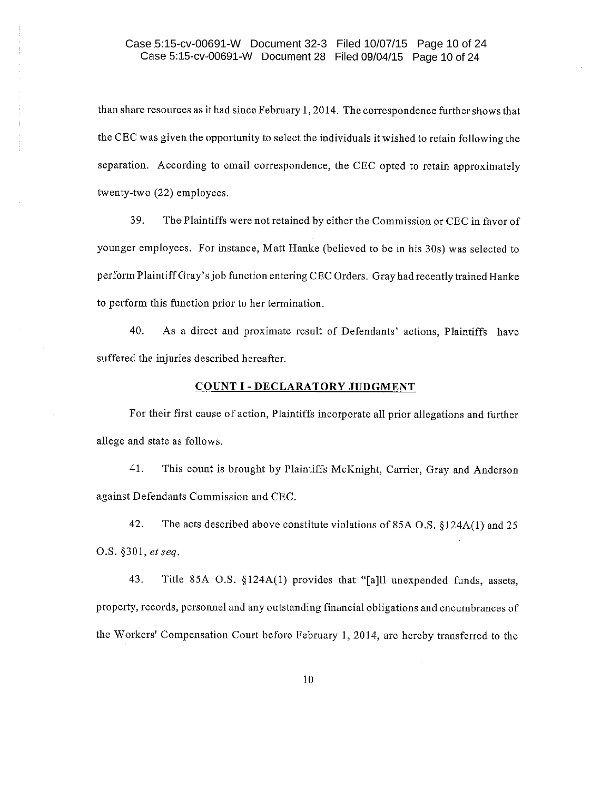# Case 5:15-cv-00691-W Document 32-3 Filed 10/07/15 Page 10 of 24 Case 5:15-cv-00691-W Document 28 Filed 09/04/15 Page 10 of 24

than share resources as it had since February 1, 2014. The correspondence further shows that the CEC was given the opportunity to select the individuals it wished to retain following the separation. According to email correspondence, the CEC opted to retain approximately twenty-two (22) employees.

39. The Plaintiffs were not retained by either the Commission or CEC in favor of younger employees. For instance, Matt Hanke (believed to be in his 30s) was selected to perform Plaintiff Gray's job function entering CEC Orders. Gray had recently trained Hanke to perform this function prior to her termination.

40. As a direct and proximate result of Defendants' actions, Plaintiffs have suffered the injuries described hereafter.

#### **COUNT I - DECLARATORY JUDGMENT**

For their first cause of action, Plaintiffs incorporate all prior allegations and further allege and state as follows.

41. This count is brought by Plaintiffs McKnight, Carrier, Gray and Anderson against Defendants Commission and CEC.

42. The acts described above constitute violations of 85A O.S. §124A(1) and 25 O.S. §301, et seq.

43. Title 85A O.S. §124A(1) provides that "[a]ll unexpended funds, assets, property, records, personnel and any outstanding financial obligations and encumbrances of the Workers' Compensation Court before February 1, 2014, are hereby transferred to the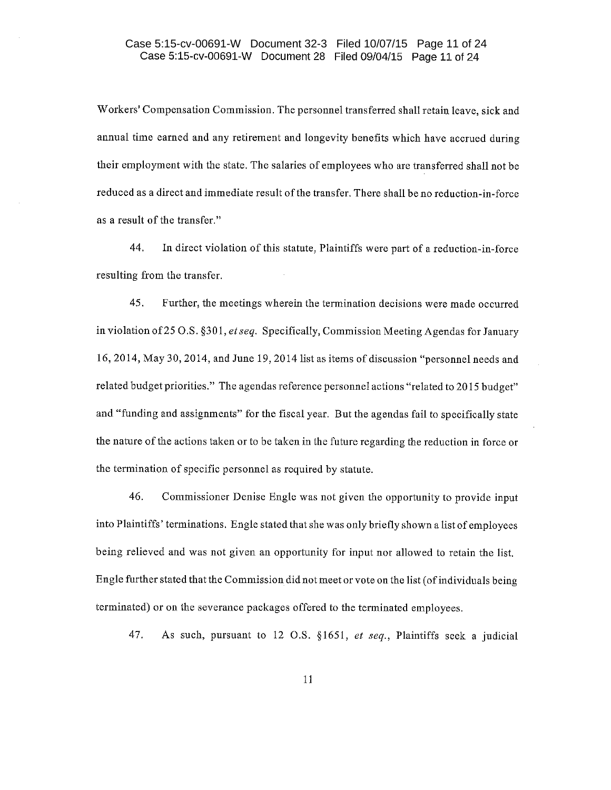# Case 5:15-cv-00691-W Document 32-3 Filed 10/07/15 Page 11 of 24 Case 5:15-cv-00691-W Document 28 Filed 09/04/15 Page 11 of 24

Workers' Compensation Commission. The personnel transferred shall retain leave, sick and annual time earned and any retirement and longevity benefits which have accrued during their employment with the state. The salaries of employees who are transferred shall not be reduced as a direct and immediate result of the transfer. There shall be no reduction-in-force as a result of the transfer."

44. In direct violation of this statute, Plaintiffs were part of a reduction-in-force resulting from the transfer.

45. Further, the meetings wherein the termination decisions were made occurred in violation of 25 O.S. §301, et seq. Specifically, Commission Meeting Agendas for January 16, 2014, May 30, 2014, and June 19, 2014 list as items of discussion "personnel needs and related budget priorities." The agendas reference personnel actions "related to 2015 budget" and "funding and assignments" for the fiscal year. But the agendas fail to specifically state the nature of the actions taken or to be taken in the future regarding the reduction in force or the termination of specific personnel as required by statute.

46. Commissioner Denise Engle was not given the opportunity to provide input into Plaintiffs' terminations. Engle stated that she was only briefly shown a list of employees being relieved and was not given an opportunity for input nor allowed to retain the list. Engle further stated that the Commission did not meet or vote on the list (of individuals being terminated) or on the severance packages offered to the terminated employees.

47. As such, pursuant to 12 O.S. §1651, et seq., Plaintiffs seek a judicial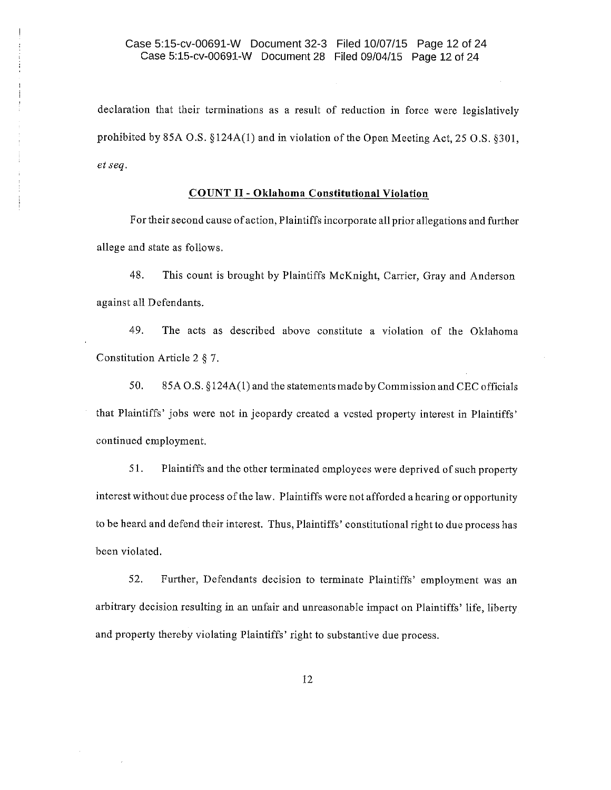# Case 5:15-cv-00691-W Document 32-3 Filed 10/07/15 Page 12 of 24 Case 5:15-cv-00691-W Document 28 Filed 09/04/15 Page 12 of 24

declaration that their terminations as a result of reduction in force were legislatively prohibited by 85A O.S.  $\S 124A(1)$  and in violation of the Open Meeting Act, 25 O.S.  $\S 301$ . et seq.

## **COUNT II - Oklahoma Constitutional Violation**

For their second cause of action, Plaintiffs incorporate all prior allegations and further allege and state as follows.

48. This count is brought by Plaintiffs McKnight, Carrier, Gray and Anderson against all Defendants.

49. The acts as described above constitute a violation of the Oklahoma Constitution Article 2  $§$  7.

50. 85A O.S. §124A(1) and the statements made by Commission and CEC officials that Plaintiffs' jobs were not in jeopardy created a vested property interest in Plaintiffs' continued employment.

51. Plaintiffs and the other terminated employees were deprived of such property interest without due process of the law. Plaintiffs were not afforded a hearing or opportunity to be heard and defend their interest. Thus, Plaintiffs' constitutional right to due process has been violated.

52. Further, Defendants decision to terminate Plaintiffs' employment was an arbitrary decision resulting in an unfair and unreasonable impact on Plaintiffs' life, liberty and property thereby violating Plaintiffs' right to substantive due process.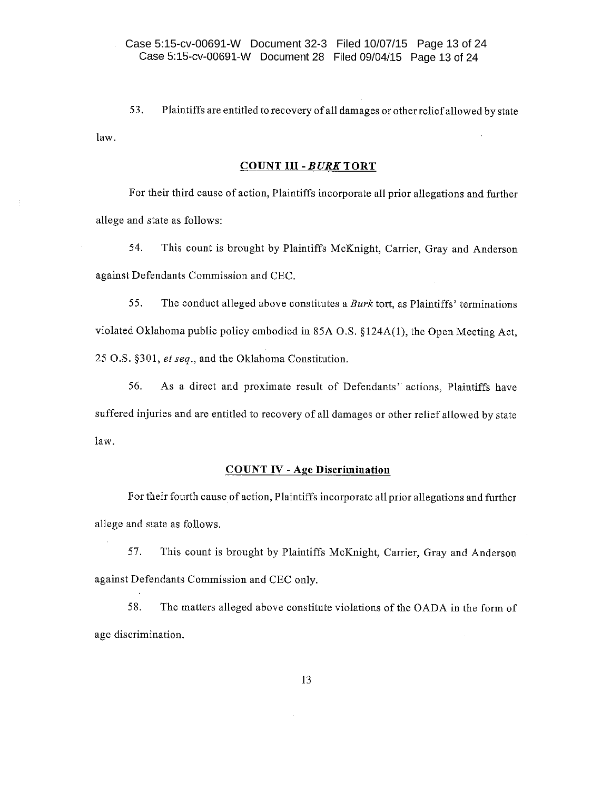53. Plaintiffs are entitled to recovery of all damages or other relief allowed by state law.

#### **COUNT III - BURK TORT**

For their third cause of action, Plaintiffs incorporate all prior allegations and further allege and state as follows:

54. This count is brought by Plaintiffs McKnight, Carrier, Gray and Anderson against Defendants Commission and CEC.

55. The conduct alleged above constitutes a Burk tort, as Plaintiffs' terminations violated Oklahoma public policy embodied in 85A O.S. §124A(1), the Open Meeting Act, 25 O.S. §301, et seq., and the Oklahoma Constitution.

56. As a direct and proximate result of Defendants' actions, Plaintiffs have suffered injuries and are entitled to recovery of all damages or other relief allowed by state law.

## **COUNT IV - Age Discrimination**

For their fourth cause of action, Plaintiffs incorporate all prior allegations and further allege and state as follows.

This count is brought by Plaintiffs McKnight, Carrier, Gray and Anderson 57. against Defendants Commission and CEC only.

58. The matters alleged above constitute violations of the OADA in the form of age discrimination.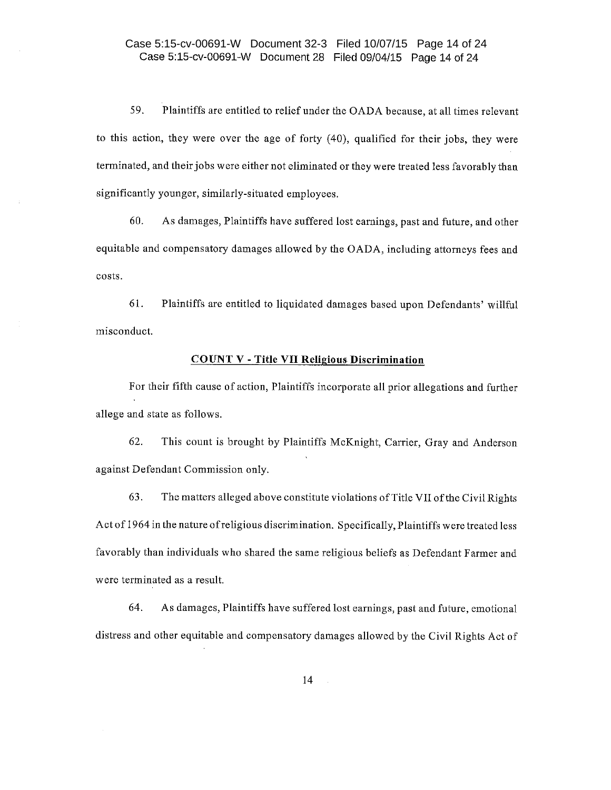# Case 5:15-cv-00691-W Document 32-3 Filed 10/07/15 Page 14 of 24 Case 5:15-cv-00691-W Document 28 Filed 09/04/15 Page 14 of 24

59. Plaintiffs are entitled to relief under the OADA because, at all times relevant to this action, they were over the age of forty (40), qualified for their jobs, they were terminated, and their jobs were either not eliminated or they were treated less favorably than significantly younger, similarly-situated employees.

60. As damages, Plaintiffs have suffered lost earnings, past and future, and other equitable and compensatory damages allowed by the OADA, including attorneys fees and costs.

61. Plaintiffs are entitled to liquidated damages based upon Defendants' willful misconduct.

### **COUNT V - Title VII Religious Discrimination**

For their fifth cause of action, Plaintiffs incorporate all prior allegations and further allege and state as follows.

62. This count is brought by Plaintiffs McKnight, Carrier, Gray and Anderson against Defendant Commission only.

63. The matters alleged above constitute violations of Title VII of the Civil Rights Act of 1964 in the nature of religious discrimination. Specifically, Plaintiffs were treated less favorably than individuals who shared the same religious beliefs as Defendant Farmer and were terminated as a result.

64. As damages, Plaintiffs have suffered lost earnings, past and future, emotional distress and other equitable and compensatory damages allowed by the Civil Rights Act of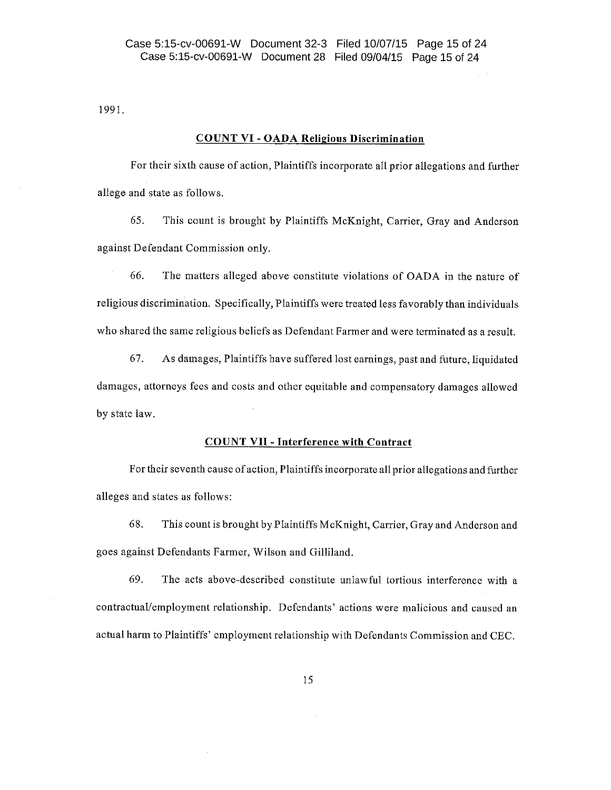1991.

### **COUNT VI - OADA Religious Discrimination**

For their sixth cause of action, Plaintiffs incorporate all prior allegations and further allege and state as follows.

65. This count is brought by Plaintiffs McKnight, Carrier, Gray and Anderson against Defendant Commission only.

66. The matters alleged above constitute violations of OADA in the nature of religious discrimination. Specifically, Plaintiffs were treated less favorably than individuals who shared the same religious beliefs as Defendant Farmer and were terminated as a result.

67. As damages, Plaintiffs have suffered lost earnings, past and future, liquidated damages, attorneys fees and costs and other equitable and compensatory damages allowed by state law.

## **COUNT VII - Interference with Contract**

For their seventh cause of action, Plaintiffs incorporate all prior allegations and further alleges and states as follows:

68. This count is brought by Plaintiffs McKnight, Carrier, Gray and Anderson and goes against Defendants Farmer, Wilson and Gilliland.

The acts above-described constitute unlawful tortious interference with a 69. contractual/employment relationship. Defendants' actions were malicious and caused an actual harm to Plaintiffs' employment relationship with Defendants Commission and CEC.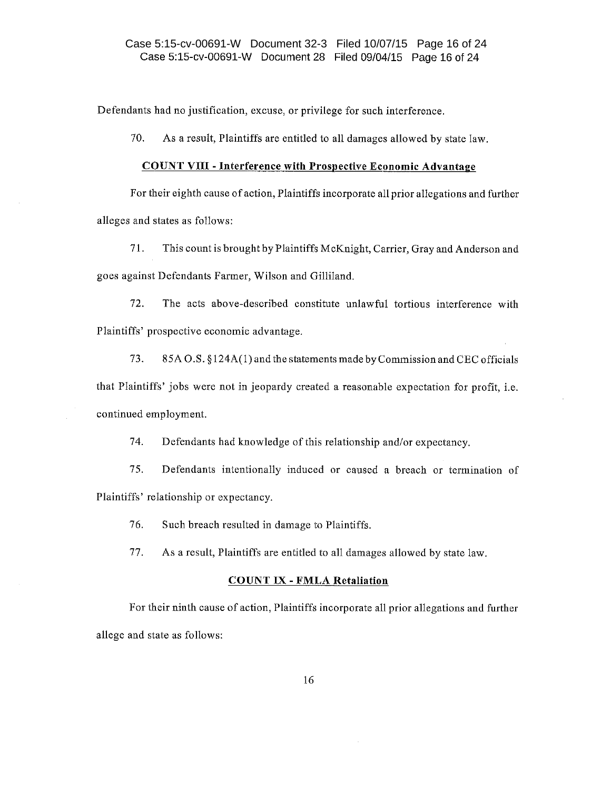Defendants had no justification, excuse, or privilege for such interference.

70. As a result, Plaintiffs are entitled to all damages allowed by state law.

### **COUNT VIII - Interference with Prospective Economic Advantage**

For their eighth cause of action, Plaintiffs incorporate all prior allegations and further alleges and states as follows:

71. This count is brought by Plaintiffs McKnight, Carrier, Gray and Anderson and goes against Defendants Farmer, Wilson and Gilliland.

72. The acts above-described constitute unlawful tortious interference with Plaintiffs' prospective economic advantage.

73. 85A O.S. §124A(1) and the statements made by Commission and CEC officials that Plaintiffs' jobs were not in jeopardy created a reasonable expectation for profit, i.e. continued employment.

74. Defendants had knowledge of this relationship and/or expectancy.

75. Defendants intentionally induced or caused a breach or termination of Plaintiffs' relationship or expectancy.

76. Such breach resulted in damage to Plaintiffs.

77. As a result, Plaintiffs are entitled to all damages allowed by state law.

#### **COUNT IX - FMLA Retaliation**

For their ninth cause of action, Plaintiffs incorporate all prior allegations and further allege and state as follows: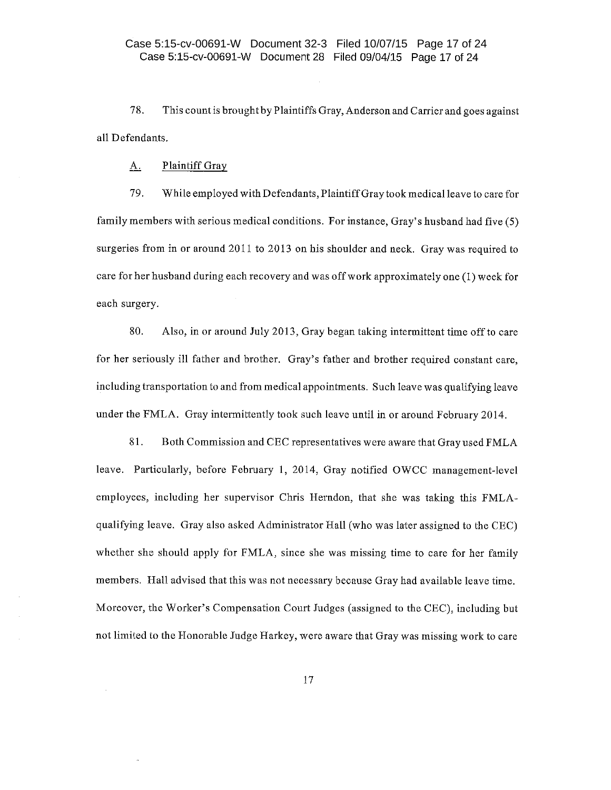78. This count is brought by Plaintiffs Gray, Anderson and Carrier and goes against all Defendants.

#### Plaintiff Gray <u>A.</u>

79. While employed with Defendants, Plaintiff Gray took medical leave to care for family members with serious medical conditions. For instance, Gray's husband had five (5) surgeries from in or around 2011 to 2013 on his shoulder and neck. Gray was required to care for her husband during each recovery and was off work approximately one (1) week for each surgery.

80. Also, in or around July 2013, Gray began taking intermittent time off to care for her seriously ill father and brother. Gray's father and brother required constant care, including transportation to and from medical appointments. Such leave was qualifying leave under the FMLA. Gray intermittently took such leave until in or around February 2014.

81. Both Commission and CEC representatives were aware that Gray used FMLA leave. Particularly, before February 1, 2014, Gray notified OWCC management-level employees, including her supervisor Chris Herndon, that she was taking this FMLAqualifying leave. Gray also asked Administrator Hall (who was later assigned to the CEC) whether she should apply for FMLA, since she was missing time to care for her family members. Hall advised that this was not necessary because Gray had available leave time. Moreover, the Worker's Compensation Court Judges (assigned to the CEC), including but not limited to the Honorable Judge Harkey, were aware that Gray was missing work to care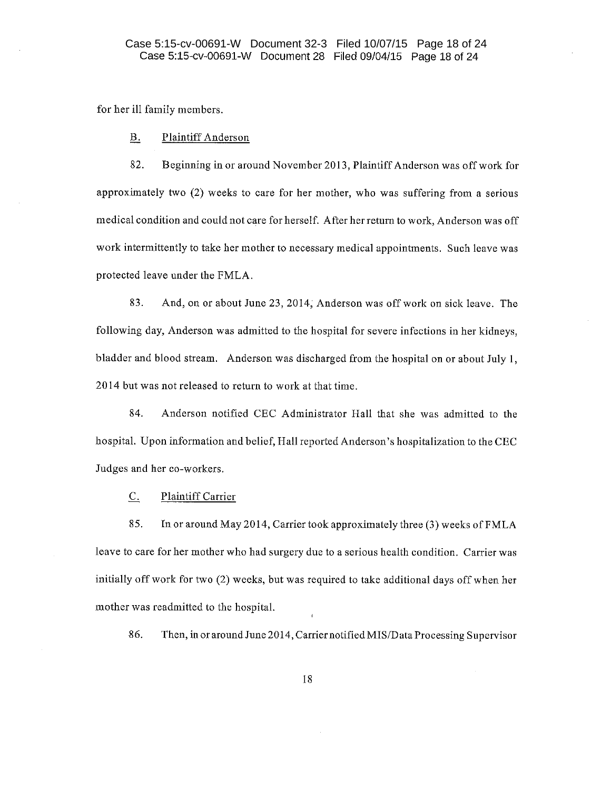for her ill family members.

#### **B. Plaintiff Anderson**

82. Beginning in or around November 2013, Plaintiff Anderson was off work for approximately two (2) weeks to care for her mother, who was suffering from a serious medical condition and could not care for herself. After her return to work, Anderson was off work intermittently to take her mother to necessary medical appointments. Such leave was protected leave under the FMLA.

83. And, on or about June 23, 2014, Anderson was off work on sick leave. The following day, Anderson was admitted to the hospital for severe infections in her kidneys. bladder and blood stream. Anderson was discharged from the hospital on or about July 1, 2014 but was not released to return to work at that time.

Anderson notified CEC Administrator Hall that she was admitted to the 84. hospital. Upon information and belief, Hall reported Anderson's hospitalization to the CEC Judges and her co-workers.

**Plaintiff Carrier**  $\mathbf{C}$ .

85. In or around May 2014, Carrier took approximately three (3) weeks of FMLA leave to care for her mother who had surgery due to a serious health condition. Carrier was initially off work for two (2) weeks, but was required to take additional days off when her mother was readmitted to the hospital.

86. Then, in or around June 2014, Carrier notified MIS/Data Processing Supervisor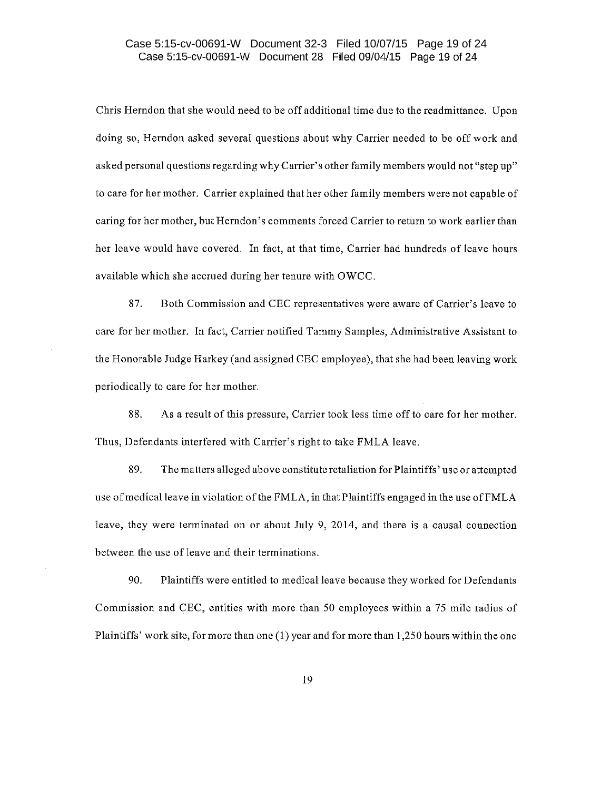# Case 5:15-cv-00691-W Document 32-3 Filed 10/07/15 Page 19 of 24 Case 5:15-cv-00691-W Document 28 Filed 09/04/15 Page 19 of 24

Chris Herndon that she would need to be off additional time due to the readmittance. Upon doing so, Herndon asked several questions about why Carrier needed to be off work and asked personal questions regarding why Carrier's other family members would not "step up" to care for her mother. Carrier explained that her other family members were not capable of caring for her mother, but Herndon's comments forced Carrier to return to work earlier than her leave would have covered. In fact, at that time, Carrier had hundreds of leave hours available which she accrued during her tenure with OWCC.

87. Both Commission and CEC representatives were aware of Carrier's leave to care for her mother. In fact, Carrier notified Tammy Samples, Administrative Assistant to the Honorable Judge Harkey (and assigned CEC employee), that she had been leaving work periodically to care for her mother.

88. As a result of this pressure, Carrier took less time off to care for her mother. Thus, Defendants interfered with Carrier's right to take FMLA leave.

89. The matters alleged above constitute retaliation for Plaintiffs' use or attempted use of medical leave in violation of the FMLA, in that Plaintiffs engaged in the use of FMLA leave, they were terminated on or about July 9, 2014, and there is a causal connection between the use of leave and their terminations.

90. Plaintiffs were entitled to medical leave because they worked for Defendants Commission and CEC, entities with more than 50 employees within a 75 mile radius of Plaintiffs' work site, for more than one (1) year and for more than 1,250 hours within the one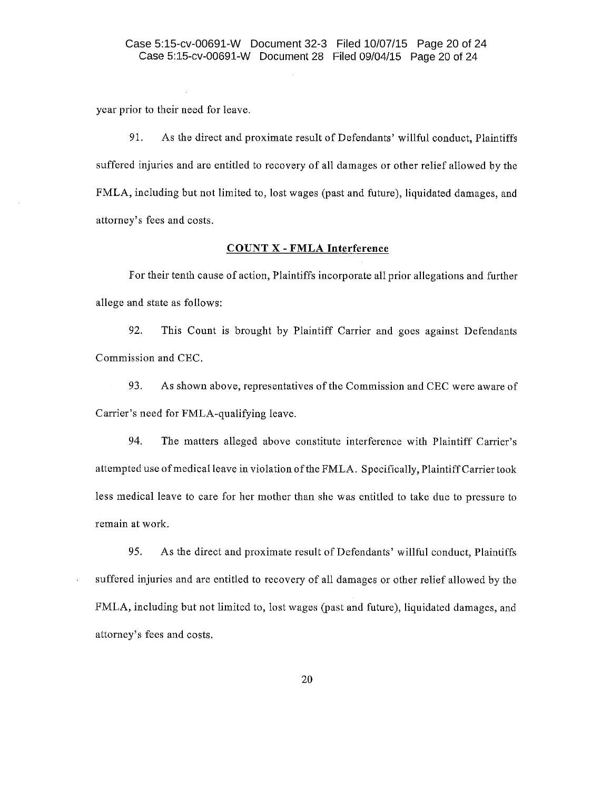year prior to their need for leave.

91. As the direct and proximate result of Defendants' willful conduct, Plaintiffs suffered injuries and are entitled to recovery of all damages or other relief allowed by the FMLA, including but not limited to, lost wages (past and future), liquidated damages, and attorney's fees and costs.

## **COUNT X - FMLA Interference**

For their tenth cause of action, Plaintiffs incorporate all prior allegations and further allege and state as follows:

92. This Count is brought by Plaintiff Carrier and goes against Defendants Commission and CEC.

93. As shown above, representatives of the Commission and CEC were aware of Carrier's need for FMLA-qualifying leave.

94. The matters alleged above constitute interference with Plaintiff Carrier's attempted use of medical leave in violation of the FMLA. Specifically, Plaintiff Carrier took less medical leave to care for her mother than she was entitled to take due to pressure to remain at work.

95. As the direct and proximate result of Defendants' willful conduct, Plaintiffs suffered injuries and are entitled to recovery of all damages or other relief allowed by the FMLA, including but not limited to, lost wages (past and future), liquidated damages, and attorney's fees and costs.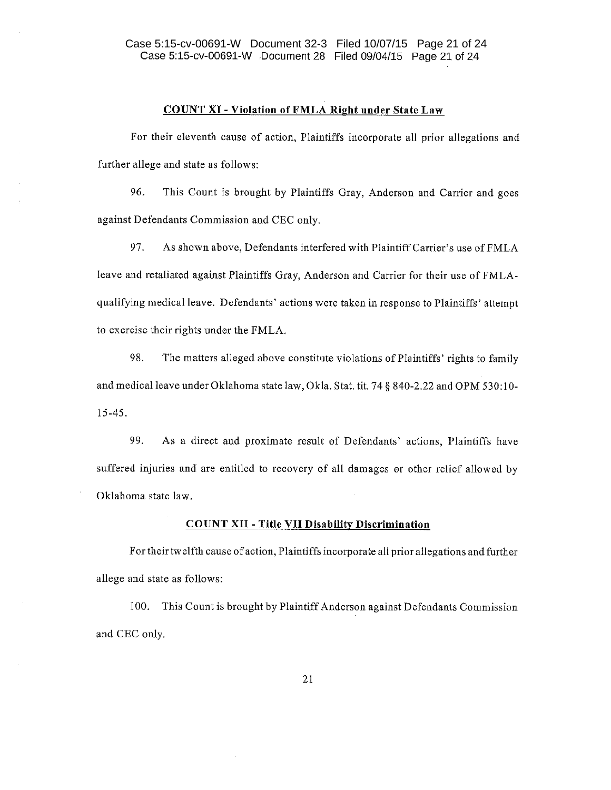# **COUNT XI - Violation of FMLA Right under State Law**

For their eleventh cause of action, Plaintiffs incorporate all prior allegations and further allege and state as follows:

96. This Count is brought by Plaintiffs Gray, Anderson and Carrier and goes against Defendants Commission and CEC only.

97. As shown above, Defendants interfered with Plaintiff Carrier's use of FMLA leave and retaliated against Plaintiffs Gray, Anderson and Carrier for their use of FMLAqualifying medical leave. Defendants' actions were taken in response to Plaintiffs' attempt to exercise their rights under the FMLA.

98. The matters alleged above constitute violations of Plaintiffs' rights to family and medical leave under Oklahoma state law, Okla. Stat. tit. 74 § 840-2.22 and OPM 530:10- $15 - 45.$ 

99. As a direct and proximate result of Defendants' actions, Plaintiffs have suffered injuries and are entitled to recovery of all damages or other relief allowed by Oklahoma state law.

# **COUNT XII - Title VII Disability Discrimination**

For their twelfth cause of action, Plaintiffs incorporate all prior allegations and further allege and state as follows:

100. This Count is brought by Plaintiff Anderson against Defendants Commission and CEC only.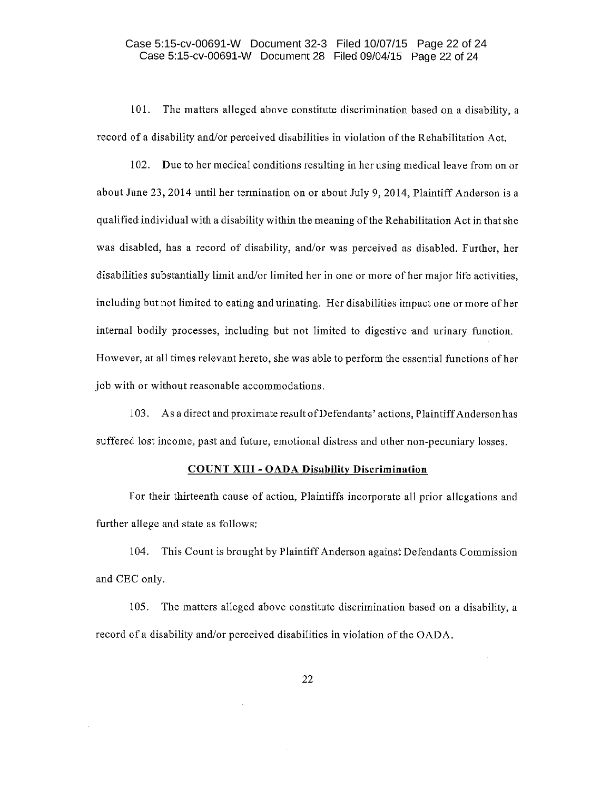## Case 5:15-cv-00691-W Document 32-3 Filed 10/07/15 Page 22 of 24 Case 5:15-cv-00691-W Document 28 Filed 09/04/15 Page 22 of 24

101. The matters alleged above constitute discrimination based on a disability, a record of a disability and/or perceived disabilities in violation of the Rehabilitation Act.

102. Due to her medical conditions resulting in her using medical leave from on or about June 23, 2014 until her termination on or about July 9, 2014, Plaintiff Anderson is a qualified individual with a disability within the meaning of the Rehabilitation Act in that she was disabled, has a record of disability, and/or was perceived as disabled. Further, her disabilities substantially limit and/or limited her in one or more of her major life activities. including but not limited to eating and urinating. Her disabilities impact one or more of her internal bodily processes, including but not limited to digestive and urinary function. However, at all times relevant hereto, she was able to perform the essential functions of her job with or without reasonable accommodations.

103. As a direct and proximate result of Defendants' actions, Plaintiff Anderson has suffered lost income, past and future, emotional distress and other non-pecuniary losses.

#### **COUNT XIII - OADA Disability Discrimination**

For their thirteenth cause of action, Plaintiffs incorporate all prior allegations and further allege and state as follows:

104. This Count is brought by Plaintiff Anderson against Defendants Commission and CEC only.

105. The matters alleged above constitute discrimination based on a disability, a record of a disability and/or perceived disabilities in violation of the OADA.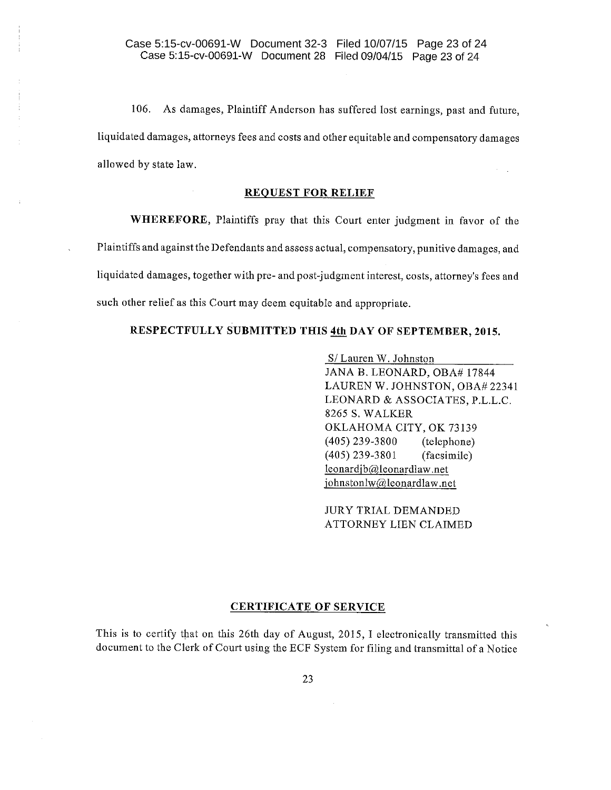106. As damages, Plaintiff Anderson has suffered lost earnings, past and future, liquidated damages, attorneys fees and costs and other equitable and compensatory damages allowed by state law.

#### **REQUEST FOR RELIEF**

WHEREFORE, Plaintiffs pray that this Court enter judgment in favor of the Plaintiffs and against the Defendants and assess actual, compensatory, punitive damages, and liquidated damages, together with pre- and post-judgment interest, costs, attorney's fees and such other relief as this Court may deem equitable and appropriate.

# RESPECTFULLY SUBMITTED THIS 4th DAY OF SEPTEMBER, 2015.

S/Lauren W. Johnston JANA B. LEONARD, OBA# 17844 LAUREN W. JOHNSTON, OBA#22341 LEONARD & ASSOCIATES, P.L.L.C. 8265 S. WALKER OKLAHOMA CITY, OK 73139  $(405)$  239-3800 (telephone) (facsimile)  $(405)$  239-3801 leonardjb@leonardlaw.net johnstonlw@leonardlaw.net

**JURY TRIAL DEMANDED** ATTORNEY LIEN CLAIMED

#### **CERTIFICATE OF SERVICE**

This is to certify that on this 26th day of August, 2015, I electronically transmitted this document to the Clerk of Court using the ECF System for filing and transmittal of a Notice